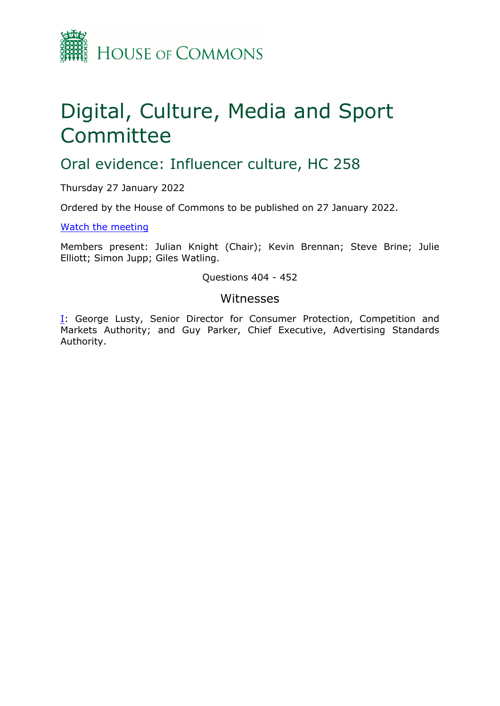

# Digital, Culture, Media and Sport Committee

## Oral evidence: Influencer culture, HC 258

Thursday 27 January 2022

Ordered by the House of Commons to be published on 27 January 2022.

[Watch](https://parliamentlive.tv/event/index/558e4375-2c16-41be-a0d3-f2385c50fb66) [the](https://parliamentlive.tv/event/index/558e4375-2c16-41be-a0d3-f2385c50fb66) [meeting](https://parliamentlive.tv/event/index/558e4375-2c16-41be-a0d3-f2385c50fb66)

Members present: Julian Knight (Chair); Kevin Brennan; Steve Brine; Julie Elliott; Simon Jupp; Giles Watling.

#### Questions 404 - 452

#### Witnesses

[I:](#page-1-0) George Lusty, Senior Director for Consumer Protection, Competition and Markets Authority; and Guy Parker, Chief Executive, Advertising Standards Authority.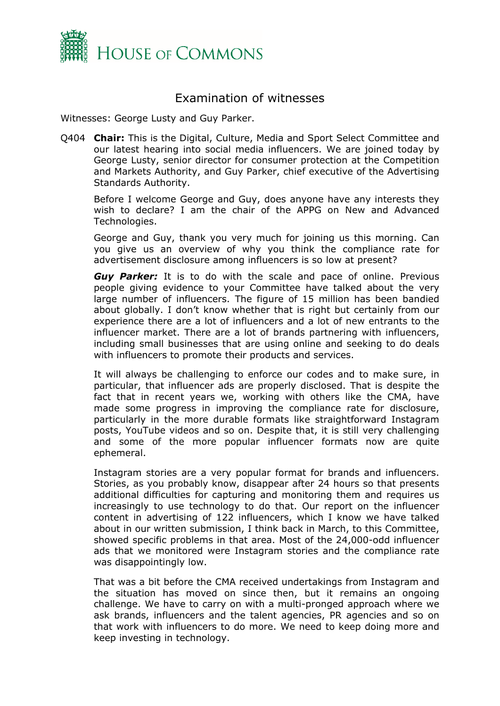

### <span id="page-1-0"></span>Examination of witnesses

Witnesses: George Lusty and Guy Parker.

Q404 **Chair:** This is the Digital, Culture, Media and Sport Select Committee and our latest hearing into social media influencers. We are joined today by George Lusty, senior director for consumer protection at the Competition and Markets Authority, and Guy Parker, chief executive of the Advertising Standards Authority.

Before I welcome George and Guy, does anyone have any interests they wish to declare? I am the chair of the APPG on New and Advanced Technologies.

George and Guy, thank you very much for joining us this morning. Can you give us an overview of why you think the compliance rate for advertisement disclosure among influencers is so low at present?

*Guy Parker:* It is to do with the scale and pace of online. Previous people giving evidence to your Committee have talked about the very large number of influencers. The figure of 15 million has been bandied about globally. I don't know whether that is right but certainly from our experience there are a lot of influencers and a lot of new entrants to the influencer market. There are a lot of brands partnering with influencers, including small businesses that are using online and seeking to do deals with influencers to promote their products and services.

It will always be challenging to enforce our codes and to make sure, in particular, that influencer ads are properly disclosed. That is despite the fact that in recent years we, working with others like the CMA, have made some progress in improving the compliance rate for disclosure, particularly in the more durable formats like straightforward Instagram posts, YouTube videos and so on. Despite that, it is still very challenging and some of the more popular influencer formats now are quite ephemeral.

Instagram stories are a very popular format for brands and influencers. Stories, as you probably know, disappear after 24 hours so that presents additional difficulties for capturing and monitoring them and requires us increasingly to use technology to do that. Our report on the influencer content in advertising of 122 influencers, which I know we have talked about in our written submission, I think back in March, to this Committee, showed specific problems in that area. Most of the 24,000-odd influencer ads that we monitored were Instagram stories and the compliance rate was disappointingly low.

That was a bit before the CMA received undertakings from Instagram and the situation has moved on since then, but it remains an ongoing challenge. We have to carry on with a multi-pronged approach where we ask brands, influencers and the talent agencies, PR agencies and so on that work with influencers to do more. We need to keep doing more and keep investing in technology.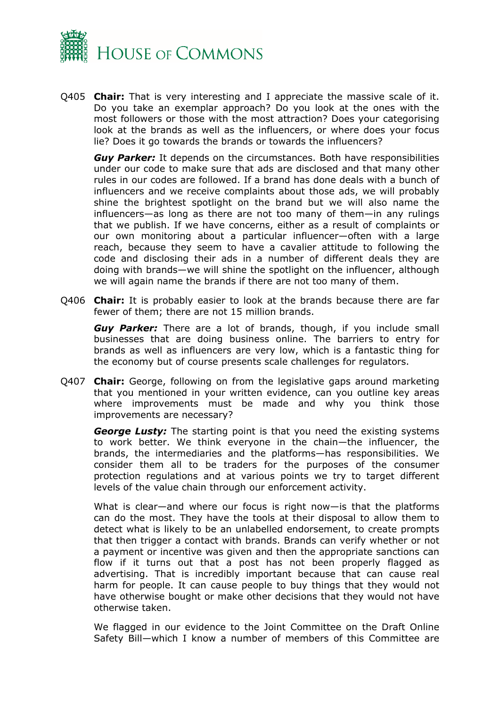

Q405 **Chair:** That is very interesting and I appreciate the massive scale of it. Do you take an exemplar approach? Do you look at the ones with the most followers or those with the most attraction? Does your categorising look at the brands as well as the influencers, or where does your focus lie? Does it go towards the brands or towards the influencers?

*Guy Parker:* It depends on the circumstances. Both have responsibilities under our code to make sure that ads are disclosed and that many other rules in our codes are followed. If a brand has done deals with a bunch of influencers and we receive complaints about those ads, we will probably shine the brightest spotlight on the brand but we will also name the influencers—as long as there are not too many of them—in any rulings that we publish. If we have concerns, either as a result of complaints or our own monitoring about a particular influencer—often with a large reach, because they seem to have a cavalier attitude to following the code and disclosing their ads in a number of different deals they are doing with brands—we will shine the spotlight on the influencer, although we will again name the brands if there are not too many of them.

Q406 **Chair:** It is probably easier to look at the brands because there are far fewer of them; there are not 15 million brands.

*Guy Parker:* There are a lot of brands, though, if you include small businesses that are doing business online. The barriers to entry for brands as well as influencers are very low, which is a fantastic thing for the economy but of course presents scale challenges for regulators.

Q407 **Chair:** George, following on from the legislative gaps around marketing that you mentioned in your written evidence, can you outline key areas where improvements must be made and why you think those improvements are necessary?

*George Lusty:* The starting point is that you need the existing systems to work better. We think everyone in the chain—the influencer, the brands, the intermediaries and the platforms—has responsibilities. We consider them all to be traders for the purposes of the consumer protection regulations and at various points we try to target different levels of the value chain through our enforcement activity.

What is clear—and where our focus is right now—is that the platforms can do the most. They have the tools at their disposal to allow them to detect what is likely to be an unlabelled endorsement, to create prompts that then trigger a contact with brands. Brands can verify whether or not a payment or incentive was given and then the appropriate sanctions can flow if it turns out that a post has not been properly flagged as advertising. That is incredibly important because that can cause real harm for people. It can cause people to buy things that they would not have otherwise bought or make other decisions that they would not have otherwise taken.

We flagged in our evidence to the Joint Committee on the Draft Online Safety Bill—which I know a number of members of this Committee are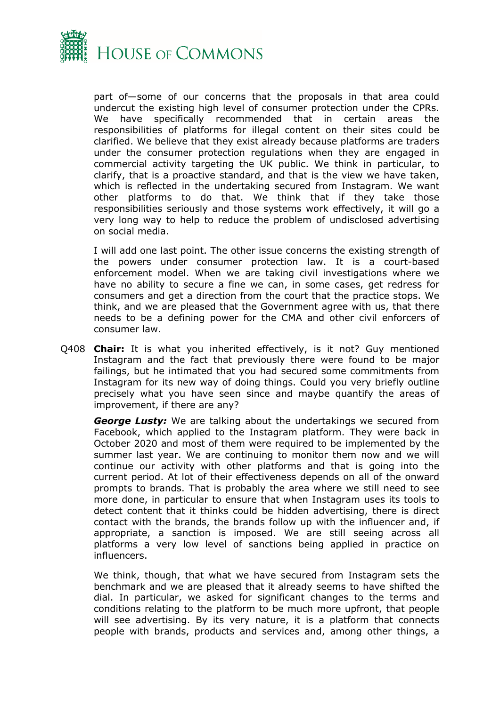

part of—some of our concerns that the proposals in that area could undercut the existing high level of consumer protection under the CPRs. We have specifically recommended that in certain areas the responsibilities of platforms for illegal content on their sites could be clarified. We believe that they exist already because platforms are traders under the consumer protection regulations when they are engaged in commercial activity targeting the UK public. We think in particular, to clarify, that is a proactive standard, and that is the view we have taken, which is reflected in the undertaking secured from Instagram. We want other platforms to do that. We think that if they take those responsibilities seriously and those systems work effectively, it will go a very long way to help to reduce the problem of undisclosed advertising on social media.

I will add one last point. The other issue concerns the existing strength of the powers under consumer protection law. It is a court-based enforcement model. When we are taking civil investigations where we have no ability to secure a fine we can, in some cases, get redress for consumers and get a direction from the court that the practice stops. We think, and we are pleased that the Government agree with us, that there needs to be a defining power for the CMA and other civil enforcers of consumer law.

Q408 **Chair:** It is what you inherited effectively, is it not? Guy mentioned Instagram and the fact that previously there were found to be major failings, but he intimated that you had secured some commitments from Instagram for its new way of doing things. Could you very briefly outline precisely what you have seen since and maybe quantify the areas of improvement, if there are any?

*George Lusty:* We are talking about the undertakings we secured from Facebook, which applied to the Instagram platform. They were back in October 2020 and most of them were required to be implemented by the summer last year. We are continuing to monitor them now and we will continue our activity with other platforms and that is going into the current period. At lot of their effectiveness depends on all of the onward prompts to brands. That is probably the area where we still need to see more done, in particular to ensure that when Instagram uses its tools to detect content that it thinks could be hidden advertising, there is direct contact with the brands, the brands follow up with the influencer and, if appropriate, a sanction is imposed. We are still seeing across all platforms a very low level of sanctions being applied in practice on influencers.

We think, though, that what we have secured from Instagram sets the benchmark and we are pleased that it already seems to have shifted the dial. In particular, we asked for significant changes to the terms and conditions relating to the platform to be much more upfront, that people will see advertising. By its very nature, it is a platform that connects people with brands, products and services and, among other things, a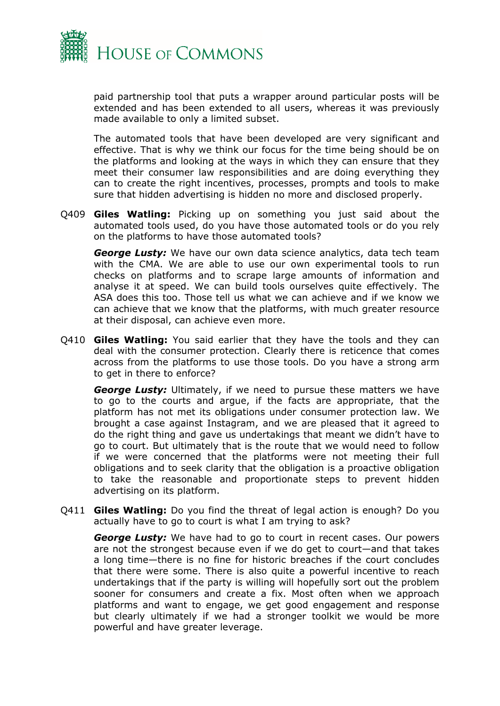

paid partnership tool that puts a wrapper around particular posts will be extended and has been extended to all users, whereas it was previously made available to only a limited subset.

The automated tools that have been developed are very significant and effective. That is why we think our focus for the time being should be on the platforms and looking at the ways in which they can ensure that they meet their consumer law responsibilities and are doing everything they can to create the right incentives, processes, prompts and tools to make sure that hidden advertising is hidden no more and disclosed properly.

Q409 **Giles Watling:** Picking up on something you just said about the automated tools used, do you have those automated tools or do you rely on the platforms to have those automated tools?

*George Lusty:* We have our own data science analytics, data tech team with the CMA. We are able to use our own experimental tools to run checks on platforms and to scrape large amounts of information and analyse it at speed. We can build tools ourselves quite effectively. The ASA does this too. Those tell us what we can achieve and if we know we can achieve that we know that the platforms, with much greater resource at their disposal, can achieve even more.

Q410 **Giles Watling:** You said earlier that they have the tools and they can deal with the consumer protection. Clearly there is reticence that comes across from the platforms to use those tools. Do you have a strong arm to get in there to enforce?

*George Lusty:* Ultimately, if we need to pursue these matters we have to go to the courts and argue, if the facts are appropriate, that the platform has not met its obligations under consumer protection law. We brought a case against Instagram, and we are pleased that it agreed to do the right thing and gave us undertakings that meant we didn't have to go to court. But ultimately that is the route that we would need to follow if we were concerned that the platforms were not meeting their full obligations and to seek clarity that the obligation is a proactive obligation to take the reasonable and proportionate steps to prevent hidden advertising on its platform.

Q411 **Giles Watling:** Do you find the threat of legal action is enough? Do you actually have to go to court is what I am trying to ask?

*George Lusty:* We have had to go to court in recent cases. Our powers are not the strongest because even if we do get to court—and that takes a long time—there is no fine for historic breaches if the court concludes that there were some. There is also quite a powerful incentive to reach undertakings that if the party is willing will hopefully sort out the problem sooner for consumers and create a fix. Most often when we approach platforms and want to engage, we get good engagement and response but clearly ultimately if we had a stronger toolkit we would be more powerful and have greater leverage.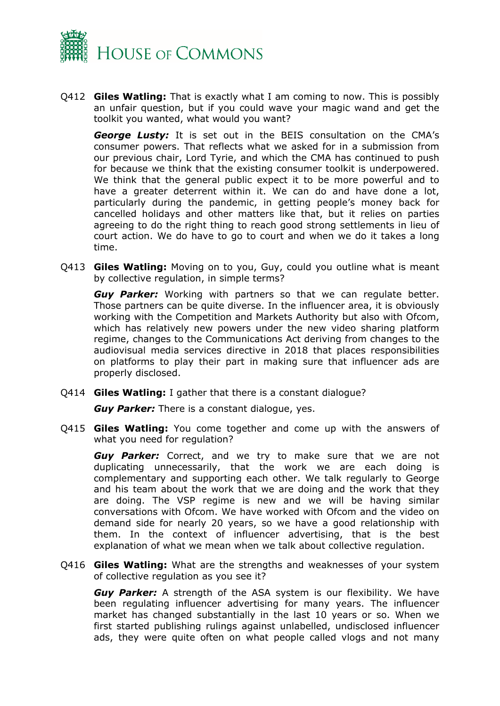

Q412 **Giles Watling:** That is exactly what I am coming to now. This is possibly an unfair question, but if you could wave your magic wand and get the toolkit you wanted, what would you want?

*George Lusty:* It is set out in the BEIS consultation on the CMA's consumer powers. That reflects what we asked for in a submission from our previous chair, Lord Tyrie, and which the CMA has continued to push for because we think that the existing consumer toolkit is underpowered. We think that the general public expect it to be more powerful and to have a greater deterrent within it. We can do and have done a lot, particularly during the pandemic, in getting people's money back for cancelled holidays and other matters like that, but it relies on parties agreeing to do the right thing to reach good strong settlements in lieu of court action. We do have to go to court and when we do it takes a long time.

Q413 **Giles Watling:** Moving on to you, Guy, could you outline what is meant by collective regulation, in simple terms?

*Guy Parker:* Working with partners so that we can regulate better. Those partners can be quite diverse. In the influencer area, it is obviously working with the Competition and Markets Authority but also with Ofcom, which has relatively new powers under the new video sharing platform regime, changes to the Communications Act deriving from changes to the audiovisual media services directive in 2018 that places responsibilities on platforms to play their part in making sure that influencer ads are properly disclosed.

Q414 **Giles Watling:** I gather that there is a constant dialogue?

*Guy Parker:* There is a constant dialogue, yes.

Q415 **Giles Watling:** You come together and come up with the answers of what you need for regulation?

*Guy Parker:* Correct, and we try to make sure that we are not duplicating unnecessarily, that the work we are each doing is complementary and supporting each other. We talk regularly to George and his team about the work that we are doing and the work that they are doing. The VSP regime is new and we will be having similar conversations with Ofcom. We have worked with Ofcom and the video on demand side for nearly 20 years, so we have a good relationship with them. In the context of influencer advertising, that is the best explanation of what we mean when we talk about collective regulation.

Q416 **Giles Watling:** What are the strengths and weaknesses of your system of collective regulation as you see it?

*Guy Parker:* A strength of the ASA system is our flexibility. We have been regulating influencer advertising for many years. The influencer market has changed substantially in the last 10 years or so. When we first started publishing rulings against unlabelled, undisclosed influencer ads, they were quite often on what people called vlogs and not many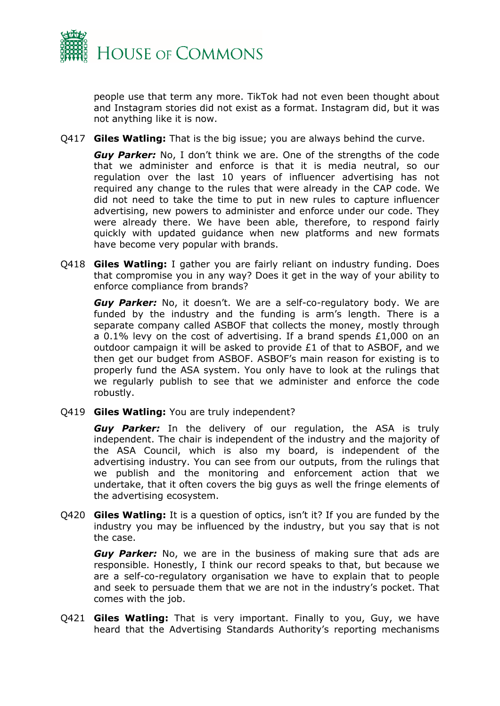

people use that term any more. TikTok had not even been thought about and Instagram stories did not exist as a format. Instagram did, but it was not anything like it is now.

Q417 **Giles Watling:** That is the big issue; you are always behind the curve.

*Guy Parker:* No, I don't think we are. One of the strengths of the code that we administer and enforce is that it is media neutral, so our regulation over the last 10 years of influencer advertising has not required any change to the rules that were already in the CAP code. We did not need to take the time to put in new rules to capture influencer advertising, new powers to administer and enforce under our code. They were already there. We have been able, therefore, to respond fairly quickly with updated guidance when new platforms and new formats have become very popular with brands.

Q418 **Giles Watling:** I gather you are fairly reliant on industry funding. Does that compromise you in any way? Does it get in the way of your ability to enforce compliance from brands?

*Guy Parker:* No, it doesn't. We are a self-co-regulatory body. We are funded by the industry and the funding is arm's length. There is a separate company called ASBOF that collects the money, mostly through a 0.1% levy on the cost of advertising. If a brand spends £1,000 on an outdoor campaign it will be asked to provide £1 of that to ASBOF, and we then get our budget from ASBOF. ASBOF's main reason for existing is to properly fund the ASA system. You only have to look at the rulings that we regularly publish to see that we administer and enforce the code robustly.

Q419 **Giles Watling:** You are truly independent?

*Guy Parker:* In the delivery of our regulation, the ASA is truly independent. The chair is independent of the industry and the majority of the ASA Council, which is also my board, is independent of the advertising industry. You can see from our outputs, from the rulings that we publish and the monitoring and enforcement action that we undertake, that it often covers the big guys as well the fringe elements of the advertising ecosystem.

Q420 **Giles Watling:** It is a question of optics, isn't it? If you are funded by the industry you may be influenced by the industry, but you say that is not the case.

*Guy Parker:* No, we are in the business of making sure that ads are responsible. Honestly, I think our record speaks to that, but because we are a self-co-regulatory organisation we have to explain that to people and seek to persuade them that we are not in the industry's pocket. That comes with the job.

Q421 **Giles Watling:** That is very important. Finally to you, Guy, we have heard that the Advertising Standards Authority's reporting mechanisms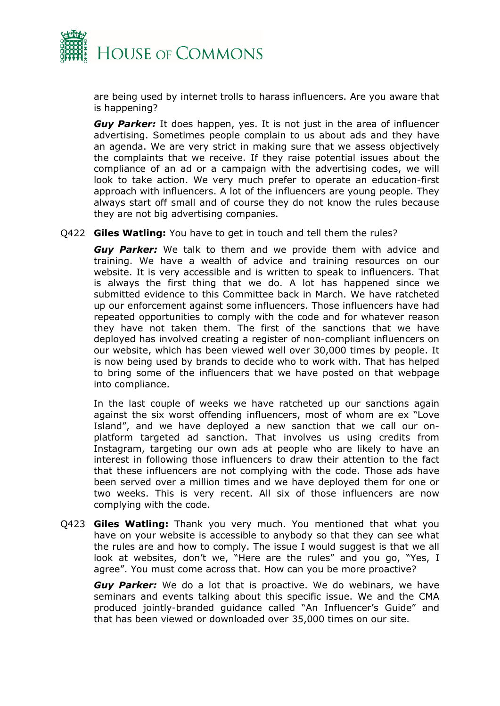

are being used by internet trolls to harass influencers. Are you aware that is happening?

*Guy Parker:* It does happen, yes. It is not just in the area of influencer advertising. Sometimes people complain to us about ads and they have an agenda. We are very strict in making sure that we assess objectively the complaints that we receive. If they raise potential issues about the compliance of an ad or a campaign with the advertising codes, we will look to take action. We very much prefer to operate an education-first approach with influencers. A lot of the influencers are young people. They always start off small and of course they do not know the rules because they are not big advertising companies.

Q422 **Giles Watling:** You have to get in touch and tell them the rules?

*Guy Parker:* We talk to them and we provide them with advice and training. We have a wealth of advice and training resources on our website. It is very accessible and is written to speak to influencers. That is always the first thing that we do. A lot has happened since we submitted evidence to this Committee back in March. We have ratcheted up our enforcement against some influencers. Those influencers have had repeated opportunities to comply with the code and for whatever reason they have not taken them. The first of the sanctions that we have deployed has involved creating a register of non-compliant influencers on our website, which has been viewed well over 30,000 times by people. It is now being used by brands to decide who to work with. That has helped to bring some of the influencers that we have posted on that webpage into compliance.

In the last couple of weeks we have ratcheted up our sanctions again against the six worst offending influencers, most of whom are ex "Love Island", and we have deployed a new sanction that we call our onplatform targeted ad sanction. That involves us using credits from Instagram, targeting our own ads at people who are likely to have an interest in following those influencers to draw their attention to the fact that these influencers are not complying with the code. Those ads have been served over a million times and we have deployed them for one or two weeks. This is very recent. All six of those influencers are now complying with the code.

Q423 **Giles Watling:** Thank you very much. You mentioned that what you have on your website is accessible to anybody so that they can see what the rules are and how to comply. The issue I would suggest is that we all look at websites, don't we, "Here are the rules" and you go, "Yes, I agree". You must come across that. How can you be more proactive?

*Guy Parker:* We do a lot that is proactive. We do webinars, we have seminars and events talking about this specific issue. We and the CMA produced jointly-branded guidance called "An Influencer's Guide" and that has been viewed or downloaded over 35,000 times on our site.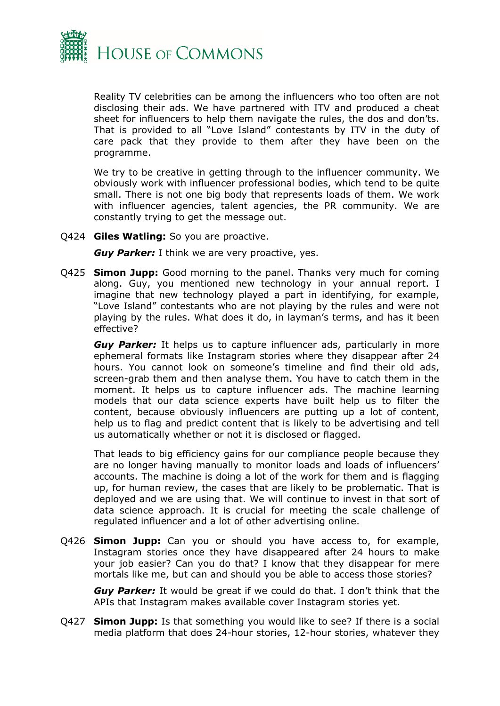

Reality TV celebrities can be among the influencers who too often are not disclosing their ads. We have partnered with ITV and produced a cheat sheet for influencers to help them navigate the rules, the dos and don'ts. That is provided to all "Love Island" contestants by ITV in the duty of care pack that they provide to them after they have been on the programme.

We try to be creative in getting through to the influencer community. We obviously work with influencer professional bodies, which tend to be quite small. There is not one big body that represents loads of them. We work with influencer agencies, talent agencies, the PR community. We are constantly trying to get the message out.

Q424 **Giles Watling:** So you are proactive.

*Guy Parker:* I think we are very proactive, yes.

Q425 **Simon Jupp:** Good morning to the panel. Thanks very much for coming along. Guy, you mentioned new technology in your annual report. I imagine that new technology played a part in identifying, for example, "Love Island" contestants who are not playing by the rules and were not playing by the rules. What does it do, in layman's terms, and has it been effective?

*Guy Parker:* It helps us to capture influencer ads, particularly in more ephemeral formats like Instagram stories where they disappear after 24 hours. You cannot look on someone's timeline and find their old ads, screen-grab them and then analyse them. You have to catch them in the moment. It helps us to capture influencer ads. The machine learning models that our data science experts have built help us to filter the content, because obviously influencers are putting up a lot of content, help us to flag and predict content that is likely to be advertising and tell us automatically whether or not it is disclosed or flagged.

That leads to big efficiency gains for our compliance people because they are no longer having manually to monitor loads and loads of influencers' accounts. The machine is doing a lot of the work for them and is flagging up, for human review, the cases that are likely to be problematic. That is deployed and we are using that. We will continue to invest in that sort of data science approach. It is crucial for meeting the scale challenge of regulated influencer and a lot of other advertising online.

Q426 **Simon Jupp:** Can you or should you have access to, for example, Instagram stories once they have disappeared after 24 hours to make your job easier? Can you do that? I know that they disappear for mere mortals like me, but can and should you be able to access those stories?

*Guy Parker:* It would be great if we could do that. I don't think that the APIs that Instagram makes available cover Instagram stories yet.

Q427 **Simon Jupp:** Is that something you would like to see? If there is a social media platform that does 24-hour stories, 12-hour stories, whatever they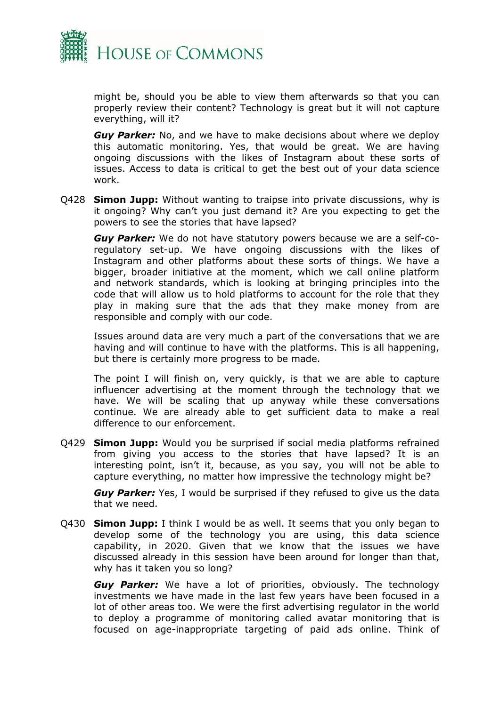

might be, should you be able to view them afterwards so that you can properly review their content? Technology is great but it will not capture everything, will it?

*Guy Parker:* No, and we have to make decisions about where we deploy this automatic monitoring. Yes, that would be great. We are having ongoing discussions with the likes of Instagram about these sorts of issues. Access to data is critical to get the best out of your data science work.

Q428 **Simon Jupp:** Without wanting to traipse into private discussions, why is it ongoing? Why can't you just demand it? Are you expecting to get the powers to see the stories that have lapsed?

*Guy Parker:* We do not have statutory powers because we are a self-coregulatory set-up. We have ongoing discussions with the likes of Instagram and other platforms about these sorts of things. We have a bigger, broader initiative at the moment, which we call online platform and network standards, which is looking at bringing principles into the code that will allow us to hold platforms to account for the role that they play in making sure that the ads that they make money from are responsible and comply with our code.

Issues around data are very much a part of the conversations that we are having and will continue to have with the platforms. This is all happening, but there is certainly more progress to be made.

The point I will finish on, very quickly, is that we are able to capture influencer advertising at the moment through the technology that we have. We will be scaling that up anyway while these conversations continue. We are already able to get sufficient data to make a real difference to our enforcement.

Q429 **Simon Jupp:** Would you be surprised if social media platforms refrained from giving you access to the stories that have lapsed? It is an interesting point, isn't it, because, as you say, you will not be able to capture everything, no matter how impressive the technology might be?

**Guy Parker:** Yes, I would be surprised if they refused to give us the data that we need.

Q430 **Simon Jupp:** I think I would be as well. It seems that you only began to develop some of the technology you are using, this data science capability, in 2020. Given that we know that the issues we have discussed already in this session have been around for longer than that, why has it taken you so long?

*Guy Parker:* We have a lot of priorities, obviously. The technology investments we have made in the last few years have been focused in a lot of other areas too. We were the first advertising regulator in the world to deploy a programme of monitoring called avatar monitoring that is focused on age-inappropriate targeting of paid ads online. Think of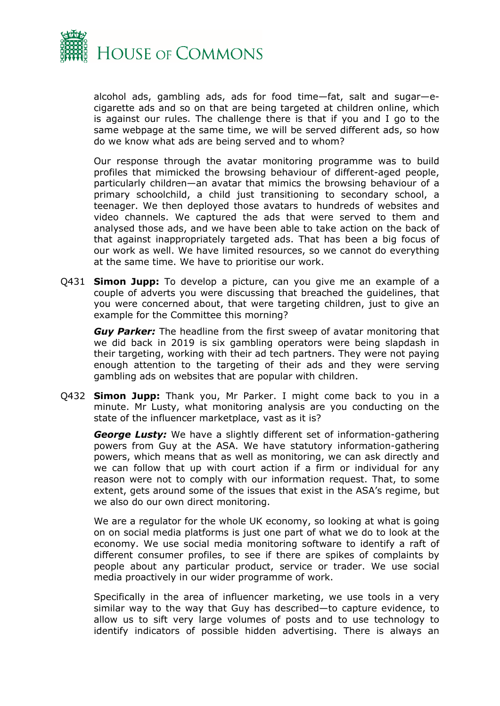

alcohol ads, gambling ads, ads for food time—fat, salt and sugar—ecigarette ads and so on that are being targeted at children online, which is against our rules. The challenge there is that if you and I go to the same webpage at the same time, we will be served different ads, so how do we know what ads are being served and to whom?

Our response through the avatar monitoring programme was to build profiles that mimicked the browsing behaviour of different-aged people, particularly children—an avatar that mimics the browsing behaviour of a primary schoolchild, a child just transitioning to secondary school, a teenager. We then deployed those avatars to hundreds of websites and video channels. We captured the ads that were served to them and analysed those ads, and we have been able to take action on the back of that against inappropriately targeted ads. That has been a big focus of our work as well. We have limited resources, so we cannot do everything at the same time. We have to prioritise our work.

Q431 **Simon Jupp:** To develop a picture, can you give me an example of a couple of adverts you were discussing that breached the guidelines, that you were concerned about, that were targeting children, just to give an example for the Committee this morning?

*Guy Parker:* The headline from the first sweep of avatar monitoring that we did back in 2019 is six gambling operators were being slapdash in their targeting, working with their ad tech partners. They were not paying enough attention to the targeting of their ads and they were serving gambling ads on websites that are popular with children.

Q432 **Simon Jupp:** Thank you, Mr Parker. I might come back to you in a minute. Mr Lusty, what monitoring analysis are you conducting on the state of the influencer marketplace, vast as it is?

*George Lusty:* We have a slightly different set of information-gathering powers from Guy at the ASA. We have statutory information-gathering powers, which means that as well as monitoring, we can ask directly and we can follow that up with court action if a firm or individual for any reason were not to comply with our information request. That, to some extent, gets around some of the issues that exist in the ASA's regime, but we also do our own direct monitoring.

We are a regulator for the whole UK economy, so looking at what is going on on social media platforms is just one part of what we do to look at the economy. We use social media monitoring software to identify a raft of different consumer profiles, to see if there are spikes of complaints by people about any particular product, service or trader. We use social media proactively in our wider programme of work.

Specifically in the area of influencer marketing, we use tools in a very similar way to the way that Guy has described—to capture evidence, to allow us to sift very large volumes of posts and to use technology to identify indicators of possible hidden advertising. There is always an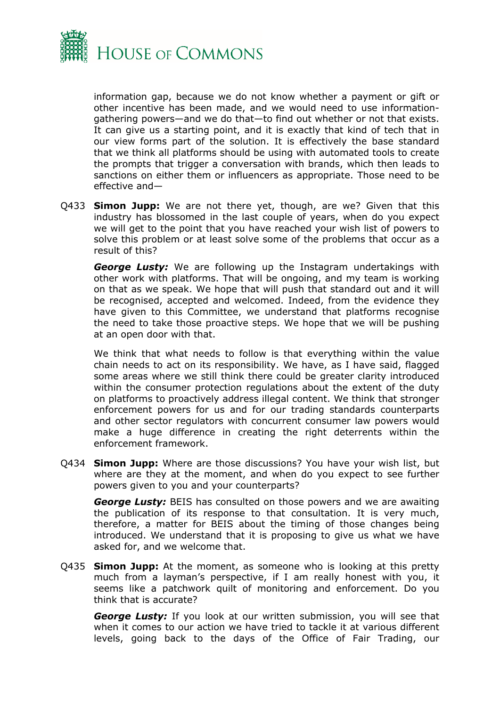

information gap, because we do not know whether a payment or gift or other incentive has been made, and we would need to use informationgathering powers—and we do that—to find out whether or not that exists. It can give us a starting point, and it is exactly that kind of tech that in our view forms part of the solution. It is effectively the base standard that we think all platforms should be using with automated tools to create the prompts that trigger a conversation with brands, which then leads to sanctions on either them or influencers as appropriate. Those need to be effective and—

Q433 **Simon Jupp:** We are not there yet, though, are we? Given that this industry has blossomed in the last couple of years, when do you expect we will get to the point that you have reached your wish list of powers to solve this problem or at least solve some of the problems that occur as a result of this?

*George Lusty:* We are following up the Instagram undertakings with other work with platforms. That will be ongoing, and my team is working on that as we speak. We hope that will push that standard out and it will be recognised, accepted and welcomed. Indeed, from the evidence they have given to this Committee, we understand that platforms recognise the need to take those proactive steps. We hope that we will be pushing at an open door with that.

We think that what needs to follow is that everything within the value chain needs to act on its responsibility. We have, as I have said, flagged some areas where we still think there could be greater clarity introduced within the consumer protection regulations about the extent of the duty on platforms to proactively address illegal content. We think that stronger enforcement powers for us and for our trading standards counterparts and other sector regulators with concurrent consumer law powers would make a huge difference in creating the right deterrents within the enforcement framework.

Q434 **Simon Jupp:** Where are those discussions? You have your wish list, but where are they at the moment, and when do you expect to see further powers given to you and your counterparts?

*George Lusty:* BEIS has consulted on those powers and we are awaiting the publication of its response to that consultation. It is very much, therefore, a matter for BEIS about the timing of those changes being introduced. We understand that it is proposing to give us what we have asked for, and we welcome that.

Q435 **Simon Jupp:** At the moment, as someone who is looking at this pretty much from a layman's perspective, if I am really honest with you, it seems like a patchwork quilt of monitoring and enforcement. Do you think that is accurate?

*George Lusty:* If you look at our written submission, you will see that when it comes to our action we have tried to tackle it at various different levels, going back to the days of the Office of Fair Trading, our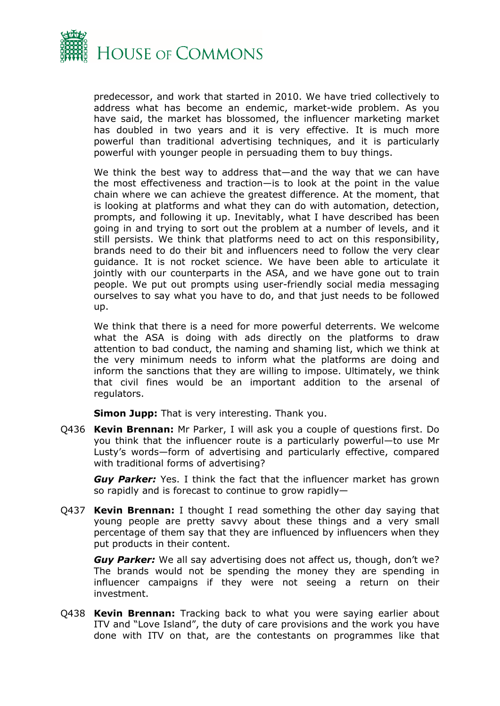

predecessor, and work that started in 2010. We have tried collectively to address what has become an endemic, market-wide problem. As you have said, the market has blossomed, the influencer marketing market has doubled in two years and it is very effective. It is much more powerful than traditional advertising techniques, and it is particularly powerful with younger people in persuading them to buy things.

We think the best way to address that—and the way that we can have the most effectiveness and traction—is to look at the point in the value chain where we can achieve the greatest difference. At the moment, that is looking at platforms and what they can do with automation, detection, prompts, and following it up. Inevitably, what I have described has been going in and trying to sort out the problem at a number of levels, and it still persists. We think that platforms need to act on this responsibility, brands need to do their bit and influencers need to follow the very clear guidance. It is not rocket science. We have been able to articulate it jointly with our counterparts in the ASA, and we have gone out to train people. We put out prompts using user-friendly social media messaging ourselves to say what you have to do, and that just needs to be followed up.

We think that there is a need for more powerful deterrents. We welcome what the ASA is doing with ads directly on the platforms to draw attention to bad conduct, the naming and shaming list, which we think at the very minimum needs to inform what the platforms are doing and inform the sanctions that they are willing to impose. Ultimately, we think that civil fines would be an important addition to the arsenal of regulators.

**Simon Jupp:** That is very interesting. Thank you.

Q436 **Kevin Brennan:** Mr Parker, I will ask you a couple of questions first. Do you think that the influencer route is a particularly powerful—to use Mr Lusty's words—form of advertising and particularly effective, compared with traditional forms of advertising?

*Guy Parker:* Yes. I think the fact that the influencer market has grown so rapidly and is forecast to continue to grow rapidly—

Q437 **Kevin Brennan:** I thought I read something the other day saying that young people are pretty savvy about these things and a very small percentage of them say that they are influenced by influencers when they put products in their content.

*Guy Parker:* We all say advertising does not affect us, though, don't we? The brands would not be spending the money they are spending in influencer campaigns if they were not seeing a return on their investment.

Q438 **Kevin Brennan:** Tracking back to what you were saying earlier about ITV and "Love Island", the duty of care provisions and the work you have done with ITV on that, are the contestants on programmes like that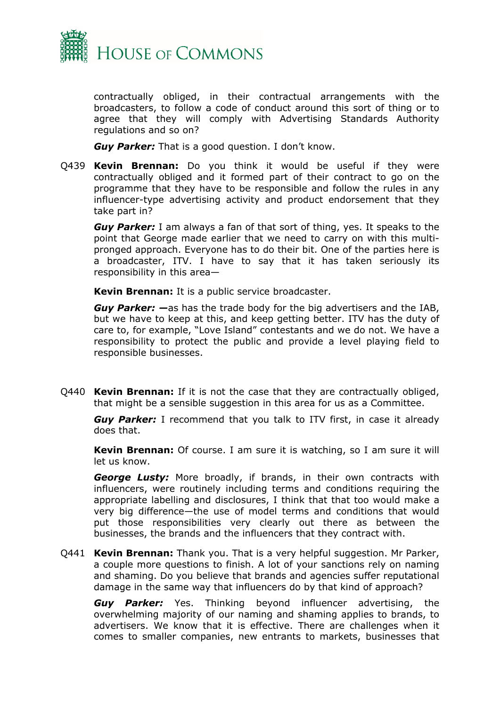

contractually obliged, in their contractual arrangements with the broadcasters, to follow a code of conduct around this sort of thing or to agree that they will comply with Advertising Standards Authority regulations and so on?

*Guy Parker:* That is a good question. I don't know.

Q439 **Kevin Brennan:** Do you think it would be useful if they were contractually obliged and it formed part of their contract to go on the programme that they have to be responsible and follow the rules in any influencer-type advertising activity and product endorsement that they take part in?

*Guy Parker:* I am always a fan of that sort of thing, yes. It speaks to the point that George made earlier that we need to carry on with this multipronged approach. Everyone has to do their bit. One of the parties here is a broadcaster, ITV. I have to say that it has taken seriously its responsibility in this area—

**Kevin Brennan:** It is a public service broadcaster.

*Guy Parker: —*as has the trade body for the big advertisers and the IAB, but we have to keep at this, and keep getting better. ITV has the duty of care to, for example, "Love Island" contestants and we do not. We have a responsibility to protect the public and provide a level playing field to responsible businesses.

Q440 **Kevin Brennan:** If it is not the case that they are contractually obliged, that might be a sensible suggestion in this area for us as a Committee.

*Guy Parker:* I recommend that you talk to ITV first, in case it already does that.

**Kevin Brennan:** Of course. I am sure it is watching, so I am sure it will let us know.

*George Lusty:* More broadly, if brands, in their own contracts with influencers, were routinely including terms and conditions requiring the appropriate labelling and disclosures, I think that that too would make a very big difference—the use of model terms and conditions that would put those responsibilities very clearly out there as between the businesses, the brands and the influencers that they contract with.

Q441 **Kevin Brennan:** Thank you. That is a very helpful suggestion. Mr Parker, a couple more questions to finish. A lot of your sanctions rely on naming and shaming. Do you believe that brands and agencies suffer reputational damage in the same way that influencers do by that kind of approach?

*Guy Parker:* Yes. Thinking beyond influencer advertising, the overwhelming majority of our naming and shaming applies to brands, to advertisers. We know that it is effective. There are challenges when it comes to smaller companies, new entrants to markets, businesses that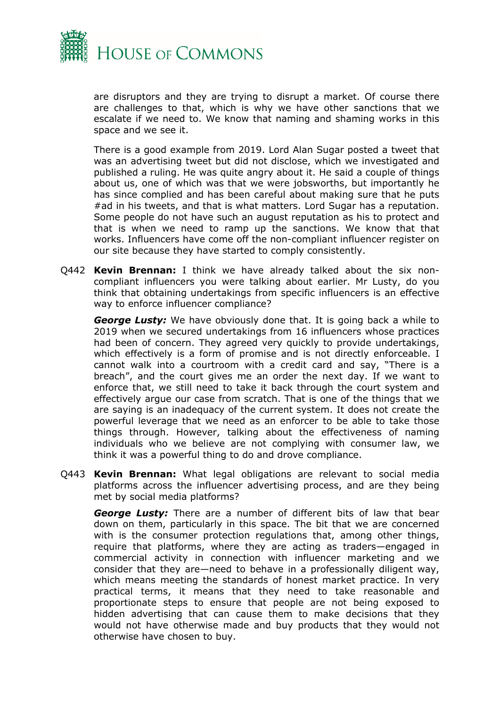

are disruptors and they are trying to disrupt a market. Of course there are challenges to that, which is why we have other sanctions that we escalate if we need to. We know that naming and shaming works in this space and we see it.

There is a good example from 2019. Lord Alan Sugar posted a tweet that was an advertising tweet but did not disclose, which we investigated and published a ruling. He was quite angry about it. He said a couple of things about us, one of which was that we were jobsworths, but importantly he has since complied and has been careful about making sure that he puts #ad in his tweets, and that is what matters. Lord Sugar has a reputation. Some people do not have such an august reputation as his to protect and that is when we need to ramp up the sanctions. We know that that works. Influencers have come off the non-compliant influencer register on our site because they have started to comply consistently.

Q442 **Kevin Brennan:** I think we have already talked about the six noncompliant influencers you were talking about earlier. Mr Lusty, do you think that obtaining undertakings from specific influencers is an effective way to enforce influencer compliance?

*George Lusty:* We have obviously done that. It is going back a while to 2019 when we secured undertakings from 16 influencers whose practices had been of concern. They agreed very quickly to provide undertakings, which effectively is a form of promise and is not directly enforceable. I cannot walk into a courtroom with a credit card and say, "There is a breach", and the court gives me an order the next day. If we want to enforce that, we still need to take it back through the court system and effectively argue our case from scratch. That is one of the things that we are saying is an inadequacy of the current system. It does not create the powerful leverage that we need as an enforcer to be able to take those things through. However, talking about the effectiveness of naming individuals who we believe are not complying with consumer law, we think it was a powerful thing to do and drove compliance.

Q443 **Kevin Brennan:** What legal obligations are relevant to social media platforms across the influencer advertising process, and are they being met by social media platforms?

*George Lusty:* There are a number of different bits of law that bear down on them, particularly in this space. The bit that we are concerned with is the consumer protection regulations that, among other things, require that platforms, where they are acting as traders—engaged in commercial activity in connection with influencer marketing and we consider that they are—need to behave in a professionally diligent way, which means meeting the standards of honest market practice. In very practical terms, it means that they need to take reasonable and proportionate steps to ensure that people are not being exposed to hidden advertising that can cause them to make decisions that they would not have otherwise made and buy products that they would not otherwise have chosen to buy.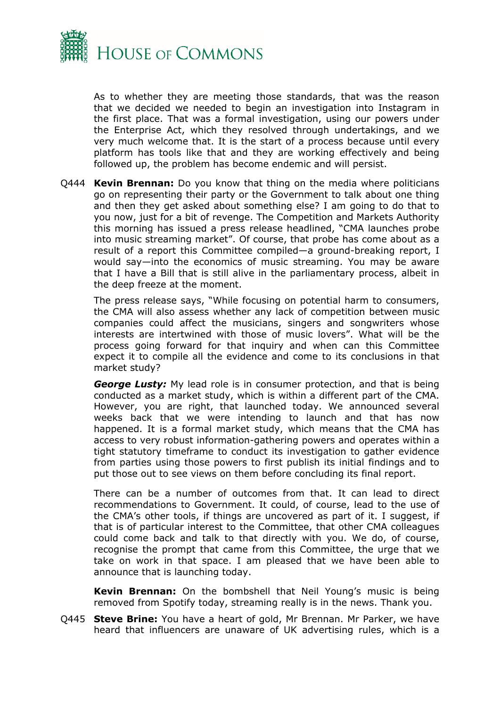

As to whether they are meeting those standards, that was the reason that we decided we needed to begin an investigation into Instagram in the first place. That was a formal investigation, using our powers under the Enterprise Act, which they resolved through undertakings, and we very much welcome that. It is the start of a process because until every platform has tools like that and they are working effectively and being followed up, the problem has become endemic and will persist.

Q444 **Kevin Brennan:** Do you know that thing on the media where politicians go on representing their party or the Government to talk about one thing and then they get asked about something else? I am going to do that to you now, just for a bit of revenge. The Competition and Markets Authority this morning has issued a press release headlined, "CMA launches probe into music streaming market". Of course, that probe has come about as a result of a report this Committee compiled—a ground-breaking report, I would say—into the economics of music streaming. You may be aware that I have a Bill that is still alive in the parliamentary process, albeit in the deep freeze at the moment.

The press release says, "While focusing on potential harm to consumers, the CMA will also assess whether any lack of competition between music companies could affect the musicians, singers and songwriters whose interests are intertwined with those of music lovers". What will be the process going forward for that inquiry and when can this Committee expect it to compile all the evidence and come to its conclusions in that market study?

*George Lusty:* My lead role is in consumer protection, and that is being conducted as a market study, which is within a different part of the CMA. However, you are right, that launched today. We announced several weeks back that we were intending to launch and that has now happened. It is a formal market study, which means that the CMA has access to very robust information-gathering powers and operates within a tight statutory timeframe to conduct its investigation to gather evidence from parties using those powers to first publish its initial findings and to put those out to see views on them before concluding its final report.

There can be a number of outcomes from that. It can lead to direct recommendations to Government. It could, of course, lead to the use of the CMA's other tools, if things are uncovered as part of it. I suggest, if that is of particular interest to the Committee, that other CMA colleagues could come back and talk to that directly with you. We do, of course, recognise the prompt that came from this Committee, the urge that we take on work in that space. I am pleased that we have been able to announce that is launching today.

**Kevin Brennan:** On the bombshell that Neil Young's music is being removed from Spotify today, streaming really is in the news. Thank you.

Q445 **Steve Brine:** You have a heart of gold, Mr Brennan. Mr Parker, we have heard that influencers are unaware of UK advertising rules, which is a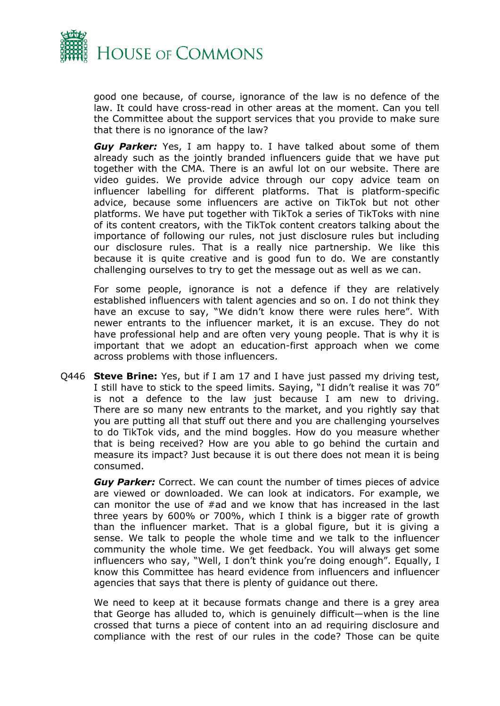

good one because, of course, ignorance of the law is no defence of the law. It could have cross-read in other areas at the moment. Can you tell the Committee about the support services that you provide to make sure that there is no ignorance of the law?

*Guy Parker:* Yes, I am happy to. I have talked about some of them already such as the jointly branded influencers guide that we have put together with the CMA. There is an awful lot on our website. There are video guides. We provide advice through our copy advice team on influencer labelling for different platforms. That is platform-specific advice, because some influencers are active on TikTok but not other platforms. We have put together with TikTok a series of TikToks with nine of its content creators, with the TikTok content creators talking about the importance of following our rules, not just disclosure rules but including our disclosure rules. That is a really nice partnership. We like this because it is quite creative and is good fun to do. We are constantly challenging ourselves to try to get the message out as well as we can.

For some people, ignorance is not a defence if they are relatively established influencers with talent agencies and so on. I do not think they have an excuse to say, "We didn't know there were rules here". With newer entrants to the influencer market, it is an excuse. They do not have professional help and are often very young people. That is why it is important that we adopt an education-first approach when we come across problems with those influencers.

Q446 **Steve Brine:** Yes, but if I am 17 and I have just passed my driving test, I still have to stick to the speed limits. Saying, "I didn't realise it was 70" is not a defence to the law just because I am new to driving. There are so many new entrants to the market, and you rightly say that you are putting all that stuff out there and you are challenging yourselves to do TikTok vids, and the mind boggles. How do you measure whether that is being received? How are you able to go behind the curtain and measure its impact? Just because it is out there does not mean it is being consumed.

*Guy Parker:* Correct. We can count the number of times pieces of advice are viewed or downloaded. We can look at indicators. For example, we can monitor the use of #ad and we know that has increased in the last three years by 600% or 700%, which I think is a bigger rate of growth than the influencer market. That is a global figure, but it is giving a sense. We talk to people the whole time and we talk to the influencer community the whole time. We get feedback. You will always get some influencers who say, "Well, I don't think you're doing enough". Equally, I know this Committee has heard evidence from influencers and influencer agencies that says that there is plenty of guidance out there.

We need to keep at it because formats change and there is a grey area that George has alluded to, which is genuinely difficult—when is the line crossed that turns a piece of content into an ad requiring disclosure and compliance with the rest of our rules in the code? Those can be quite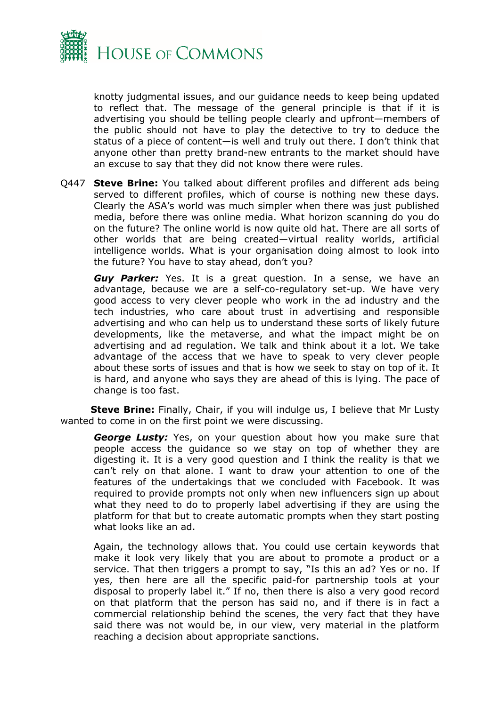

knotty judgmental issues, and our guidance needs to keep being updated to reflect that. The message of the general principle is that if it is advertising you should be telling people clearly and upfront—members of the public should not have to play the detective to try to deduce the status of a piece of content—is well and truly out there. I don't think that anyone other than pretty brand-new entrants to the market should have an excuse to say that they did not know there were rules.

Q447 **Steve Brine:** You talked about different profiles and different ads being served to different profiles, which of course is nothing new these days. Clearly the ASA's world was much simpler when there was just published media, before there was online media. What horizon scanning do you do on the future? The online world is now quite old hat. There are all sorts of other worlds that are being created—virtual reality worlds, artificial intelligence worlds. What is your organisation doing almost to look into the future? You have to stay ahead, don't you?

*Guy Parker:* Yes. It is a great question. In a sense, we have an advantage, because we are a self-co-regulatory set-up. We have very good access to very clever people who work in the ad industry and the tech industries, who care about trust in advertising and responsible advertising and who can help us to understand these sorts of likely future developments, like the metaverse, and what the impact might be on advertising and ad regulation. We talk and think about it a lot. We take advantage of the access that we have to speak to very clever people about these sorts of issues and that is how we seek to stay on top of it. It is hard, and anyone who says they are ahead of this is lying. The pace of change is too fast.

**Steve Brine:** Finally, Chair, if you will indulge us, I believe that Mr Lusty wanted to come in on the first point we were discussing.

*George Lusty:* Yes, on your question about how you make sure that people access the guidance so we stay on top of whether they are digesting it. It is a very good question and I think the reality is that we can't rely on that alone. I want to draw your attention to one of the features of the undertakings that we concluded with Facebook. It was required to provide prompts not only when new influencers sign up about what they need to do to properly label advertising if they are using the platform for that but to create automatic prompts when they start posting what looks like an ad.

Again, the technology allows that. You could use certain keywords that make it look very likely that you are about to promote a product or a service. That then triggers a prompt to say, "Is this an ad? Yes or no. If yes, then here are all the specific paid-for partnership tools at your disposal to properly label it." If no, then there is also a very good record on that platform that the person has said no, and if there is in fact a commercial relationship behind the scenes, the very fact that they have said there was not would be, in our view, very material in the platform reaching a decision about appropriate sanctions.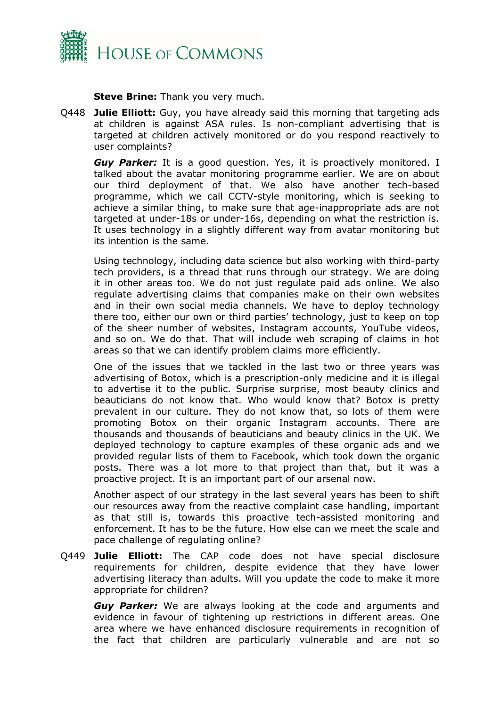

**Steve Brine:** Thank you very much.

Q448 **Julie Elliott:** Guy, you have already said this morning that targeting ads at children is against ASA rules. Is non-compliant advertising that is targeted at children actively monitored or do you respond reactively to user complaints?

**Guy Parker:** It is a good question. Yes, it is proactively monitored. I talked about the avatar monitoring programme earlier. We are on about our third deployment of that. We also have another tech-based programme, which we call CCTV-style monitoring, which is seeking to achieve a similar thing, to make sure that age-inappropriate ads are not targeted at under-18s or under-16s, depending on what the restriction is. It uses technology in a slightly different way from avatar monitoring but its intention is the same.

Using technology, including data science but also working with third-party tech providers, is a thread that runs through our strategy. We are doing it in other areas too. We do not just regulate paid ads online. We also regulate advertising claims that companies make on their own websites and in their own social media channels. We have to deploy technology there too, either our own or third parties' technology, just to keep on top of the sheer number of websites, Instagram accounts, YouTube videos, and so on. We do that. That will include web scraping of claims in hot areas so that we can identify problem claims more efficiently.

One of the issues that we tackled in the last two or three years was advertising of Botox, which is a prescription-only medicine and it is illegal to advertise it to the public. Surprise surprise, most beauty clinics and beauticians do not know that. Who would know that? Botox is pretty prevalent in our culture. They do not know that, so lots of them were promoting Botox on their organic Instagram accounts. There are thousands and thousands of beauticians and beauty clinics in the UK. We deployed technology to capture examples of these organic ads and we provided regular lists of them to Facebook, which took down the organic posts. There was a lot more to that project than that, but it was a proactive project. It is an important part of our arsenal now.

Another aspect of our strategy in the last several years has been to shift our resources away from the reactive complaint case handling, important as that still is, towards this proactive tech-assisted monitoring and enforcement. It has to be the future. How else can we meet the scale and pace challenge of regulating online?

Q449 **Julie Elliott:** The CAP code does not have special disclosure requirements for children, despite evidence that they have lower advertising literacy than adults. Will you update the code to make it more appropriate for children?

*Guy Parker:* We are always looking at the code and arguments and evidence in favour of tightening up restrictions in different areas. One area where we have enhanced disclosure requirements in recognition of the fact that children are particularly vulnerable and are not so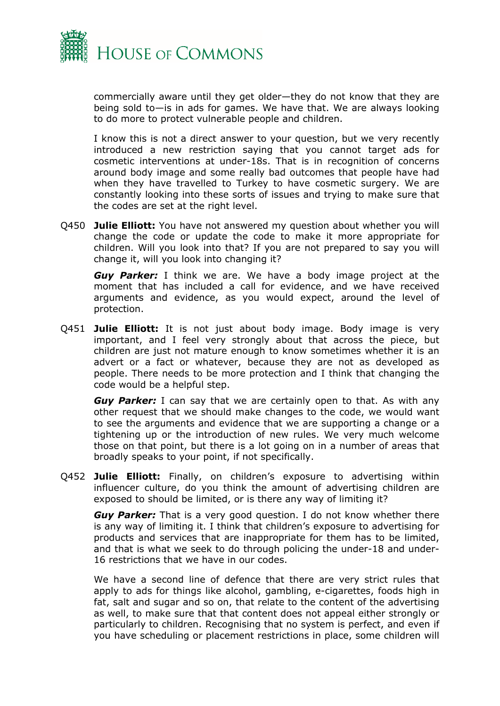

commercially aware until they get older—they do not know that they are being sold to—is in ads for games. We have that. We are always looking to do more to protect vulnerable people and children.

I know this is not a direct answer to your question, but we very recently introduced a new restriction saying that you cannot target ads for cosmetic interventions at under-18s. That is in recognition of concerns around body image and some really bad outcomes that people have had when they have travelled to Turkey to have cosmetic surgery. We are constantly looking into these sorts of issues and trying to make sure that the codes are set at the right level.

Q450 **Julie Elliott:** You have not answered my question about whether you will change the code or update the code to make it more appropriate for children. Will you look into that? If you are not prepared to say you will change it, will you look into changing it?

*Guy Parker:* I think we are. We have a body image project at the moment that has included a call for evidence, and we have received arguments and evidence, as you would expect, around the level of protection.

Q451 **Julie Elliott:** It is not just about body image. Body image is very important, and I feel very strongly about that across the piece, but children are just not mature enough to know sometimes whether it is an advert or a fact or whatever, because they are not as developed as people. There needs to be more protection and I think that changing the code would be a helpful step.

*Guy Parker:* I can say that we are certainly open to that. As with any other request that we should make changes to the code, we would want to see the arguments and evidence that we are supporting a change or a tightening up or the introduction of new rules. We very much welcome those on that point, but there is a lot going on in a number of areas that broadly speaks to your point, if not specifically.

Q452 **Julie Elliott:** Finally, on children's exposure to advertising within influencer culture, do you think the amount of advertising children are exposed to should be limited, or is there any way of limiting it?

*Guy Parker:* That is a very good question. I do not know whether there is any way of limiting it. I think that children's exposure to advertising for products and services that are inappropriate for them has to be limited, and that is what we seek to do through policing the under-18 and under-16 restrictions that we have in our codes.

We have a second line of defence that there are very strict rules that apply to ads for things like alcohol, gambling, e-cigarettes, foods high in fat, salt and sugar and so on, that relate to the content of the advertising as well, to make sure that that content does not appeal either strongly or particularly to children. Recognising that no system is perfect, and even if you have scheduling or placement restrictions in place, some children will